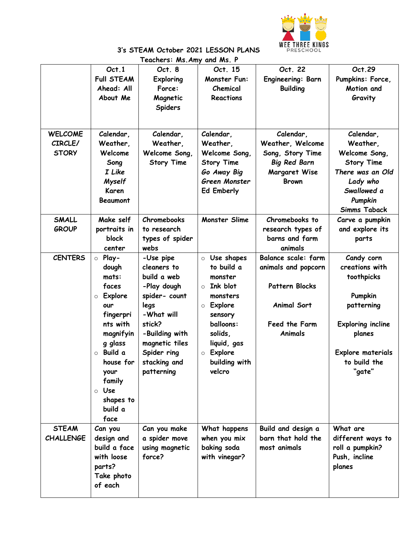

## **3's STEAM October 2021 LESSON PLANS Teachers: Ms.Amy and Ms. P**

| reachers: MS.AMY<br>ana ms. r             |                                                                                                                                                                                                                   |                                                                                                                                                                                          |                                                                                                                                                                                                         |                                                                                                                |                                                                                                                                                          |  |  |  |  |
|-------------------------------------------|-------------------------------------------------------------------------------------------------------------------------------------------------------------------------------------------------------------------|------------------------------------------------------------------------------------------------------------------------------------------------------------------------------------------|---------------------------------------------------------------------------------------------------------------------------------------------------------------------------------------------------------|----------------------------------------------------------------------------------------------------------------|----------------------------------------------------------------------------------------------------------------------------------------------------------|--|--|--|--|
|                                           | Oct.1<br><b>Full STEAM</b><br>Ahead: All<br>About Me                                                                                                                                                              | Oct. 8<br><b>Exploring</b><br>Force:<br>Magnetic<br><b>Spiders</b>                                                                                                                       | Oct. 15<br><b>Monster Fun:</b><br>Chemical<br>Reactions                                                                                                                                                 | Oct. 22<br>Engineering: Barn<br><b>Building</b>                                                                | Oct.29<br>Pumpkins: Force,<br>Motion and<br>Gravity                                                                                                      |  |  |  |  |
| <b>WELCOME</b><br>CIRCLE/<br><b>STORY</b> | Calendar,<br>Weather,<br>Welcome<br>Song<br>I Like<br><b>Myself</b><br>Karen<br><b>Beaumont</b>                                                                                                                   | Calendar,<br>Weather,<br>Welcome Song,<br><b>Story Time</b>                                                                                                                              | Calendar,<br>Weather,<br>Welcome Song,<br><b>Story Time</b><br>Go Away Big<br>Green Monster<br><b>Ed Emberly</b>                                                                                        | Calendar,<br>Weather, Welcome<br>Song, Story Time<br><b>Big Red Barn</b><br>Margaret Wise<br><b>Brown</b>      | Calendar,<br>Weather,<br>Welcome Song,<br><b>Story Time</b><br>There was an Old<br>Lady who<br>Swallowed a<br>Pumpkin<br><b>Simms Taback</b>             |  |  |  |  |
| <b>SMALL</b><br><b>GROUP</b>              | Make self<br>portraits in<br>block<br>center                                                                                                                                                                      | Chromebooks<br>to research<br>types of spider<br>webs                                                                                                                                    | <b>Monster Slime</b>                                                                                                                                                                                    | Chromebooks to<br>research types of<br>barns and farm<br>animals                                               | Carve a pumpkin<br>and explore its<br>parts                                                                                                              |  |  |  |  |
| <b>CENTERS</b>                            | $\circ$ Play-<br>dough<br>mats:<br>faces<br>Explore<br>$\circ$<br>our<br>fingerpri<br>nts with<br>magnifyin<br>g glass<br>$\circ$ Build a<br>house for<br>your<br>family<br>⊙ Use<br>shapes to<br>build a<br>face | -Use pipe<br>cleaners to<br>build a web<br>-Play dough<br>spider- count<br>legs<br>-What will<br>stick?<br>-Building with<br>magnetic tiles<br>Spider ring<br>stacking and<br>patterning | $\circ$ Use shapes<br>to build a<br>monster<br>Ink blot<br>$\circ$<br>monsters<br>Explore<br>$\circ$<br>sensory<br>balloons:<br>solids,<br>liquid, gas<br>Explore<br>$\circ$<br>building with<br>velcro | Balance scale: farm<br>animals and popcorn<br>Pattern Blocks<br><b>Animal Sort</b><br>Feed the Farm<br>Animals | Candy corn<br>creations with<br>toothpicks<br>Pumpkin<br>patterning<br><b>Exploring incline</b><br>planes<br>Explore materials<br>to build the<br>"gate" |  |  |  |  |
| <b>STEAM</b><br><b>CHALLENGE</b>          | Can you<br>design and<br>build a face<br>with loose<br>parts?<br>Take photo<br>of each                                                                                                                            | Can you make<br>a spider move<br>using magnetic<br>force?                                                                                                                                | What happens<br>when you mix<br>baking soda<br>with vinegar?                                                                                                                                            | Build and design a<br>barn that hold the<br>most animals                                                       | What are<br>different ways to<br>roll a pumpkin?<br>Push, incline<br>planes                                                                              |  |  |  |  |